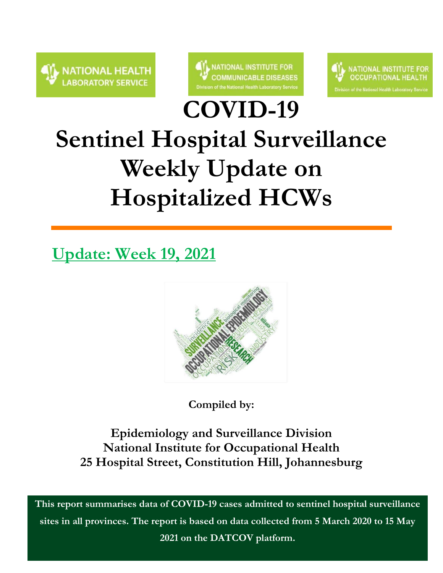



**COVID-19** 



# **Sentinel Hospital Surveillance Weekly Update on Hospitalized HCWs**

# **Update: Week 19, 2021**



**Compiled by:**

**Epidemiology and Surveillance Division National Institute for Occupational Health 25 Hospital Street, Constitution Hill, Johannesburg**

**This report summarises data of COVID-19 cases admitted to sentinel hospital surveillance sites in all provinces. The report is based on data collected from 5 March 2020 to 15 May 2021 on the DATCOV platform.**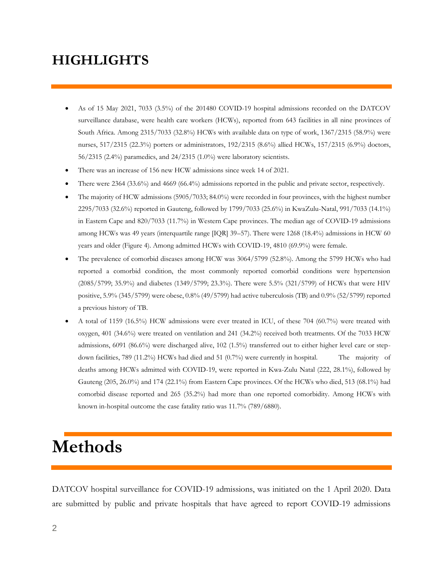### **HIGHLIGHTS**

- As of 15 May 2021, 7033 (3.5%) of the 201480 COVID-19 hospital admissions recorded on the DATCOV surveillance database, were health care workers (HCWs), reported from 643 facilities in all nine provinces of South Africa. Among 2315/7033 (32.8%) HCWs with available data on type of work, 1367/2315 (58.9%) were nurses, 517/2315 (22.3%) porters or administrators, 192/2315 (8.6%) allied HCWs, 157/2315 (6.9%) doctors, 56/2315 (2.4%) paramedics, and 24/2315 (1.0%) were laboratory scientists.
- There was an increase of 156 new HCW admissions since week 14 of 2021.
- There were 2364 (33.6%) and 4669 (66.4%) admissions reported in the public and private sector, respectively.
- The majority of HCW admissions (5905/7033; 84.0%) were recorded in four provinces, with the highest number 2295/7033 (32.6%) reported in Gauteng, followed by 1799/7033 (25.6%) in KwaZulu-Natal, 991/7033 (14.1%) in Eastern Cape and 820/7033 (11.7%) in Western Cape provinces. The median age of COVID-19 admissions among HCWs was 49 years (interquartile range [IQR] 39–57). There were 1268 (18.4%) admissions in HCW 60 years and older (Figure 4). Among admitted HCWs with COVID-19, 4810 (69.9%) were female.
- The prevalence of comorbid diseases among HCW was 3064/5799 (52.8%). Among the 5799 HCWs who had reported a comorbid condition, the most commonly reported comorbid conditions were hypertension (2085/5799; 35.9%) and diabetes (1349/5799; 23.3%). There were 5.5% (321/5799) of HCWs that were HIV positive, 5.9% (345/5799) were obese, 0.8% (49/5799) had active tuberculosis (TB) and 0.9% (52/5799) reported a previous history of TB.
- A total of 1159 (16.5%) HCW admissions were ever treated in ICU, of these 704 (60.7%) were treated with oxygen, 401 (34.6%) were treated on ventilation and 241 (34.2%) received both treatments. Of the 7033 HCW admissions, 6091 (86.6%) were discharged alive, 102 (1.5%) transferred out to either higher level care or stepdown facilities, 789 (11.2%) HCWs had died and 51 (0.7%) were currently in hospital. The majority of deaths among HCWs admitted with COVID-19, were reported in Kwa-Zulu Natal (222, 28.1%), followed by Gauteng (205, 26.0%) and 174 (22.1%) from Eastern Cape provinces. Of the HCWs who died, 513 (68.1%) had comorbid disease reported and 265 (35.2%) had more than one reported comorbidity. Among HCWs with known in-hospital outcome the case fatality ratio was 11.7% (789/6880).

## **Methods**

DATCOV hospital surveillance for COVID-19 admissions, was initiated on the 1 April 2020. Data are submitted by public and private hospitals that have agreed to report COVID-19 admissions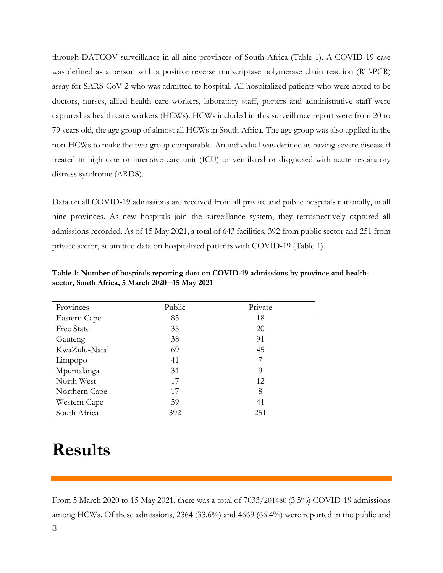through DATCOV surveillance in all nine provinces of South Africa (Table 1). A COVID-19 case was defined as a person with a positive reverse transcriptase polymerase chain reaction (RT-PCR) assay for SARS-CoV-2 who was admitted to hospital. All hospitalized patients who were noted to be doctors, nurses, allied health care workers, laboratory staff, porters and administrative staff were captured as health care workers (HCWs). HCWs included in this surveillance report were from 20 to 79 years old, the age group of almost all HCWs in South Africa. The age group was also applied in the non-HCWs to make the two group comparable. An individual was defined as having severe disease if treated in high care or intensive care unit (ICU) or ventilated or diagnosed with acute respiratory distress syndrome (ARDS).

Data on all COVID-19 admissions are received from all private and public hospitals nationally, in all nine provinces. As new hospitals join the surveillance system, they retrospectively captured all admissions recorded. As of 15 May 2021, a total of 643 facilities, 392 from public sector and 251 from private sector, submitted data on hospitalized patients with COVID-19 (Table 1).

| Provinces     | Public | Private |
|---------------|--------|---------|
| Eastern Cape  | 85     | 18      |
| Free State    | 35     | 20      |
| Gauteng       | 38     | 91      |
| KwaZulu-Natal | 69     | 45      |
| Limpopo       | 41     |         |
| Mpumalanga    | 31     | 9       |
| North West    | 17     | 12      |
| Northern Cape | 17     | 8       |
| Western Cape  | 59     | 41      |
| South Africa  | 392    | 251     |

**Table 1: Number of hospitals reporting data on COVID-19 admissions by province and healthsector, South Africa, 5 March 2020 –15 May 2021**

## **Results**

From 5 March 2020 to 15 May 2021, there was a total of 7033/201480 (3.5%) COVID-19 admissions among HCWs. Of these admissions, 2364 (33.6%) and 4669 (66.4%) were reported in the public and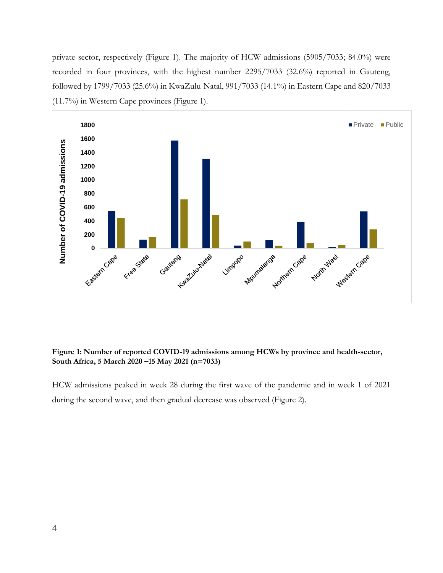private sector, respectively (Figure 1). The majority of HCW admissions (5905/7033; 84.0%) were recorded in four provinces, with the highest number 2295/7033 (32.6%) reported in Gauteng, followed by 1799/7033 (25.6%) in KwaZulu-Natal, 991/7033 (14.1%) in Eastern Cape and 820/7033 (11.7%) in Western Cape provinces (Figure 1).



#### **Figure 1: Number of reported COVID-19 admissions among HCWs by province and health-sector, South Africa, 5 March 2020 –15 May 2021 (n=7033)**

HCW admissions peaked in week 28 during the first wave of the pandemic and in week 1 of 2021 during the second wave, and then gradual decrease was observed (Figure 2).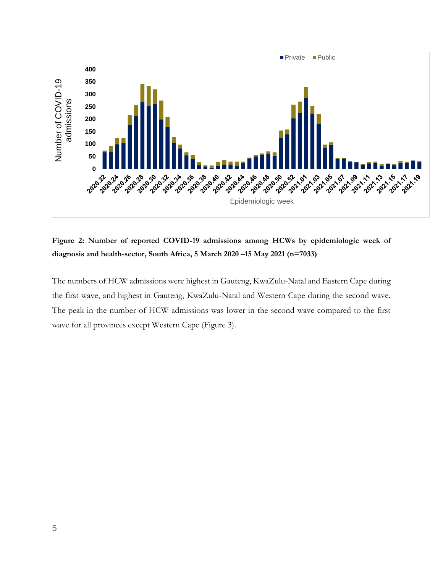

**Figure 2: Number of reported COVID-19 admissions among HCWs by epidemiologic week of diagnosis and health-sector, South Africa, 5 March 2020 –15 May 2021 (n=7033)**

The numbers of HCW admissions were highest in Gauteng, KwaZulu-Natal and Eastern Cape during the first wave, and highest in Gauteng, KwaZulu-Natal and Western Cape during the second wave. The peak in the number of HCW admissions was lower in the second wave compared to the first wave for all provinces except Western Cape (Figure 3).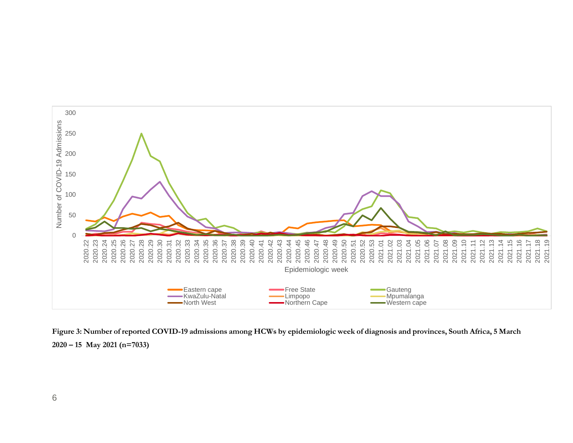

**Figure 3: Number of reported COVID-19 admissions among HCWs by epidemiologic week of diagnosis and provinces, South Africa, 5 March 2020 – 15 May 2021 (n=7033)**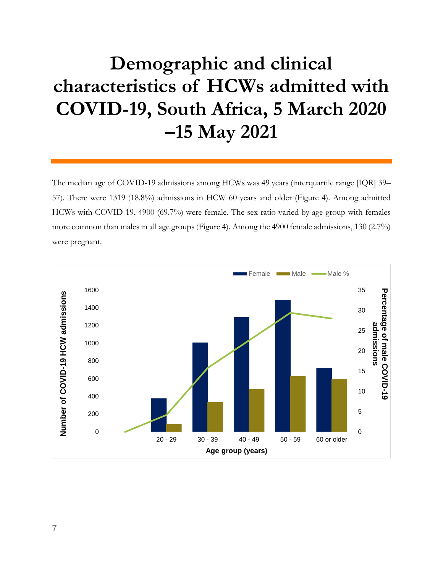# **Demographic and clinical characteristics of HCWs admitted with COVID-19, South Africa, 5 March 2020 –15 May 2021**

The median age of COVID-19 admissions among HCWs was 49 years (interquartile range [IQR] 39– 57). There were 1319 (18.8%) admissions in HCW 60 years and older (Figure 4). Among admitted HCWs with COVID-19, 4900 (69.7%) were female. The sex ratio varied by age group with females more common than males in all age groups (Figure 4). Among the 4900 female admissions, 130 (2.7%) were pregnant.

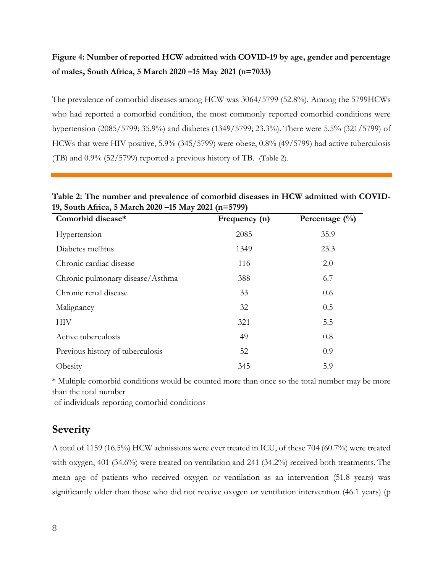### **Figure 4: Number of reported HCW admitted with COVID-19 by age, gender and percentage of males, South Africa, 5 March 2020 –15 May 2021 (n=7033)**

The prevalence of comorbid diseases among HCW was 3064/5799 (52.8%). Among the 5799HCWs who had reported a comorbid condition, the most commonly reported comorbid conditions were hypertension (2085/5799; 35.9%) and diabetes (1349/5799; 23.3%). There were 5.5% (321/5799) of HCWs that were HIV positive, 5.9% (345/5799) were obese, 0.8% (49/5799) had active tuberculosis (TB) and 0.9% (52/5799) reported a previous history of TB. (Table 2).

| Comorbid disease*                | Frequency (n) | Percentage $(\frac{0}{0})$ |
|----------------------------------|---------------|----------------------------|
| Hypertension                     | 2085          | 35.9                       |
| Diabetes mellitus                | 1349          | 23.3                       |
| Chronic cardiac disease          | 116           | 2.0                        |
| Chronic pulmonary disease/Asthma | 388           | 6.7                        |
| Chronic renal disease            | 33            | 0.6                        |
| Malignancy                       | 32            | 0.5                        |
| НIV                              | 321           | 5.5                        |
| Active tuberculosis              | 49            | 0.8                        |
| Previous history of tuberculosis | 52            | 0.9                        |
| Obesity                          | 345           | 5.9                        |

**Table 2: The number and prevalence of comorbid diseases in HCW admitted with COVID-19, South Africa, 5 March 2020 –15 May 2021 (n=5799)** 

\* Multiple comorbid conditions would be counted more than once so the total number may be more than the total number

of individuals reporting comorbid conditions

### **Severity**

A total of 1159 (16.5%) HCW admissions were ever treated in ICU, of these 704 (60.7%) were treated with oxygen, 401 (34.6%) were treated on ventilation and 241 (34.2%) received both treatments. The mean age of patients who received oxygen or ventilation as an intervention (51.8 years) was significantly older than those who did not receive oxygen or ventilation intervention (46.1 years) (p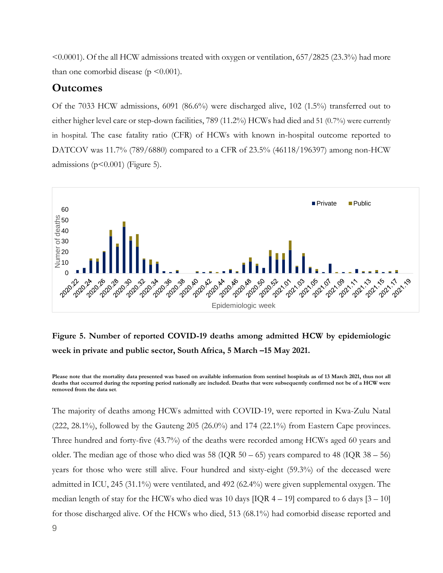$\leq 0.0001$ ). Of the all HCW admissions treated with oxygen or ventilation, 657/2825 (23.3%) had more than one comorbid disease ( $p \leq 0.001$ ).

#### **Outcomes**

Of the 7033 HCW admissions, 6091 (86.6%) were discharged alive, 102 (1.5%) transferred out to either higher level care or step-down facilities, 789 (11.2%) HCWs had died and 51 (0.7%) were currently in hospital. The case fatality ratio (CFR) of HCWs with known in-hospital outcome reported to DATCOV was 11.7% (789/6880) compared to a CFR of 23.5% (46118/196397) among non-HCW admissions ( $p$ <0.001) (Figure 5).



### **Figure 5. Number of reported COVID-19 deaths among admitted HCW by epidemiologic week in private and public sector, South Africa, 5 March –15 May 2021.**

**Please note that the mortality data presented was based on available information from sentinel hospitals as of 13 March 2021, thus not all deaths that occurred during the reporting period nationally are included. Deaths that were subsequently confirmed not be of a HCW were removed from the data set**.

The majority of deaths among HCWs admitted with COVID-19, were reported in Kwa-Zulu Natal  $(222, 28.1\%)$ , followed by the Gauteng 205  $(26.0\%)$  and 174  $(22.1\%)$  from Eastern Cape provinces. Three hundred and forty-five (43.7%) of the deaths were recorded among HCWs aged 60 years and older. The median age of those who died was  $58 \text{ (IQR } 50 - 65)$  years compared to  $48 \text{ (IQR } 38 - 56)$ years for those who were still alive. Four hundred and sixty-eight (59.3%) of the deceased were admitted in ICU, 245 (31.1%) were ventilated, and 492 (62.4%) were given supplemental oxygen. The median length of stay for the HCWs who died was 10 days  $[IQR 4 - 19]$  compared to 6 days  $[3 - 10]$ for those discharged alive. Of the HCWs who died, 513 (68.1%) had comorbid disease reported and